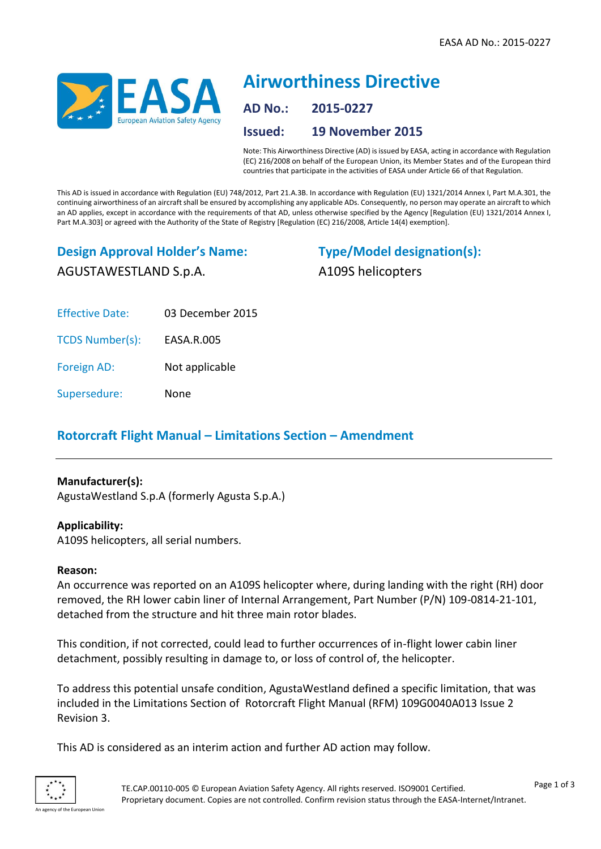

# **Airworthiness Directive AD No.: 2015-0227 Issued: 19 November 2015**

Note: This Airworthiness Directive (AD) is issued by EASA, acting in accordance with Regulation (EC) 216/2008 on behalf of the European Union, its Member States and of the European third countries that participate in the activities of EASA under Article 66 of that Regulation.

This AD is issued in accordance with Regulation (EU) 748/2012, Part 21.A.3B. In accordance with Regulation (EU) 1321/2014 Annex I, Part M.A.301, the continuing airworthiness of an aircraft shall be ensured by accomplishing any applicable ADs. Consequently, no person may operate an aircraft to which an AD applies, except in accordance with the requirements of that AD, unless otherwise specified by the Agency [Regulation (EU) 1321/2014 Annex I, Part M.A.303] or agreed with the Authority of the State of Registry [Regulation (EC) 216/2008, Article 14(4) exemption].

## **Design Approval Holder's Name:** AGUSTAWESTLAND S.p.A.

**Type/Model designation(s):** A109S helicopters

Effective Date: 03 December 2015

TCDS Number(s): EASA.R.005

Foreign AD: Not applicable

Supersedure: None

### **Rotorcraft Flight Manual – Limitations Section – Amendment**

#### **Manufacturer(s):**

AgustaWestland S.p.A (formerly Agusta S.p.A.)

#### **Applicability:**

A109S helicopters, all serial numbers.

#### **Reason:**

An occurrence was reported on an A109S helicopter where, during landing with the right (RH) door removed, the RH lower cabin liner of Internal Arrangement, Part Number (P/N) 109-0814-21-101, detached from the structure and hit three main rotor blades.

This condition, if not corrected, could lead to further occurrences of in-flight lower cabin liner detachment, possibly resulting in damage to, or loss of control of, the helicopter.

To address this potential unsafe condition, AgustaWestland defined a specific limitation, that was included in the Limitations Section of Rotorcraft Flight Manual (RFM) 109G0040A013 Issue 2 Revision 3.

This AD is considered as an interim action and further AD action may follow.

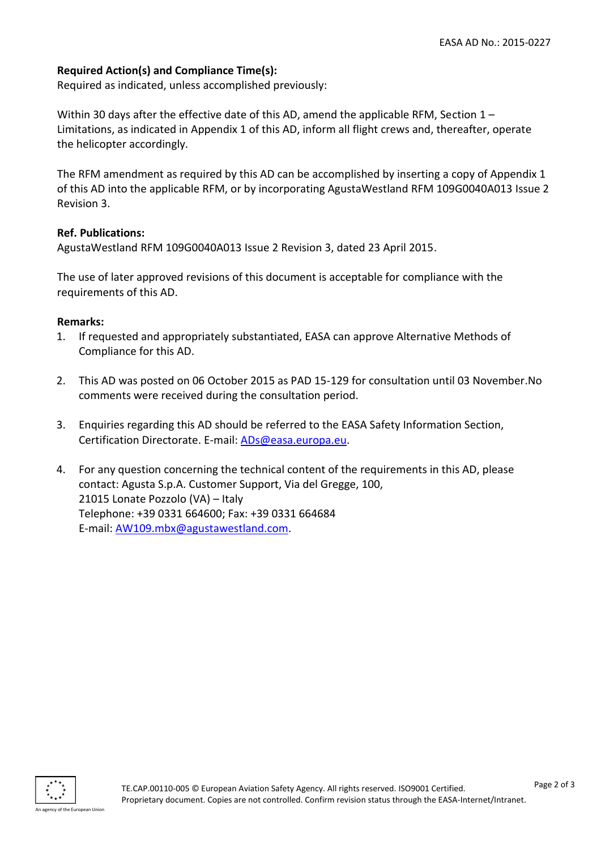#### **Required Action(s) and Compliance Time(s):**

Required as indicated, unless accomplished previously:

Within 30 days after the effective date of this AD, amend the applicable RFM, Section 1 – Limitations, as indicated in Appendix 1 of this AD, inform all flight crews and, thereafter, operate the helicopter accordingly.

The RFM amendment as required by this AD can be accomplished by inserting a copy of Appendix 1 of this AD into the applicable RFM, or by incorporating AgustaWestland RFM 109G0040A013 Issue 2 Revision 3.

#### **Ref. Publications:**

AgustaWestland RFM 109G0040A013 Issue 2 Revision 3, dated 23 April 2015.

The use of later approved revisions of this document is acceptable for compliance with the requirements of this AD.

#### **Remarks:**

- 1. If requested and appropriately substantiated, EASA can approve Alternative Methods of Compliance for this AD.
- 2. This AD was posted on 06 October 2015 as PAD 15-129 for consultation until 03 November.No comments were received during the consultation period.
- 3. Enquiries regarding this AD should be referred to the EASA Safety Information Section, Certification Directorate. E-mail: [ADs@easa.europa.eu.](mailto:ADs@easa.europa.eu)
- 4. For any question concerning the technical content of the requirements in this AD, please contact: Agusta S.p.A. Customer Support, Via del Gregge, 100, 21015 Lonate Pozzolo (VA) – Italy Telephone: +39 0331 664600; Fax: +39 0331 664684 E-mail: [AW109.mbx@agustawestland.com.](mailto:AW109.mbx@agustawestland.com)